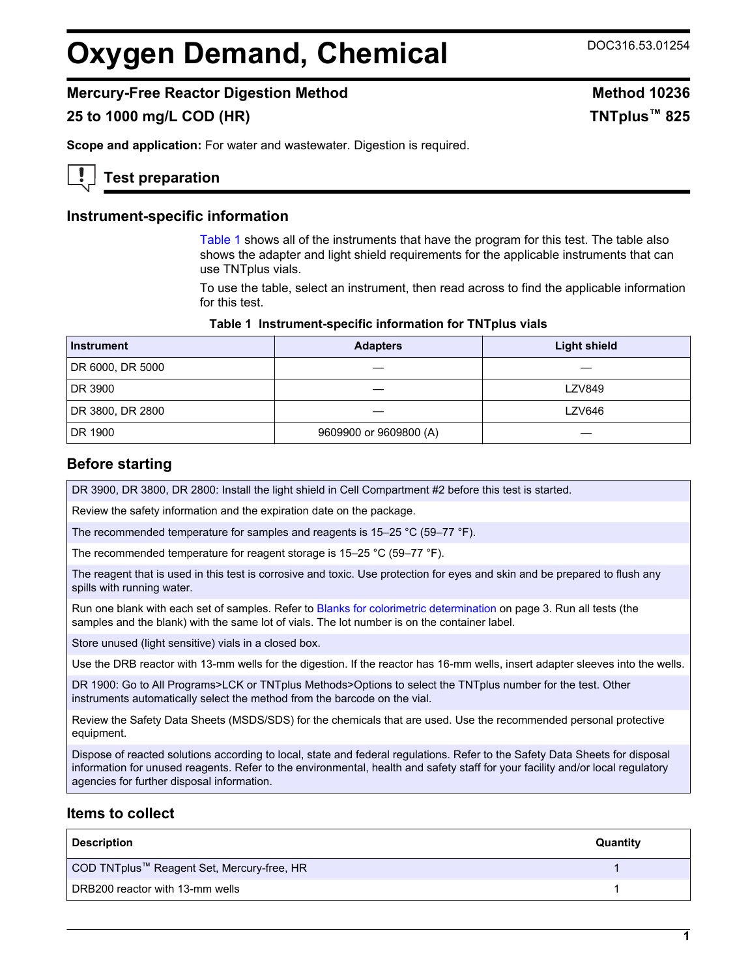# **Oxygen Demand, Chemical** DOC316.53.01254

# **Mercury-Free Reactor Digestion Method Method 10236**

# **25 to 1000 mg/L COD (HR) TNTplus™ 825**

**Scope and application:** For water and wastewater. Digestion is required.

# **Test preparation**

## **Instrument-specific information**

[Table 1](#page-0-0) shows all of the instruments that have the program for this test. The table also shows the adapter and light shield requirements for the applicable instruments that can use TNTplus vials.

To use the table, select an instrument, then read across to find the applicable information for this test.

#### **Table 1 Instrument-specific information for TNTplus vials**

<span id="page-0-1"></span><span id="page-0-0"></span>

| <b>Instrument</b> | <b>Adapters</b>        | <b>Light shield</b> |
|-------------------|------------------------|---------------------|
| DR 6000, DR 5000  |                        |                     |
| DR 3900           |                        | <b>LZV849</b>       |
| DR 3800, DR 2800  |                        | <b>LZV646</b>       |
| DR 1900           | 9609900 or 9609800 (A) |                     |

## **Before starting**

DR 3900, DR 3800, DR 2800: Install the light shield in Cell Compartment #2 before this test is started.

Review the safety information and the expiration date on the package.

The recommended temperature for samples and reagents is 15–25 °C (59–77 °F).

The recommended temperature for reagent storage is 15–25 °C (59–77 °F).

The reagent that is used in this test is corrosive and toxic. Use protection for eyes and skin and be prepared to flush any spills with running water.

Run one blank with each set of samples. Refer to [Blanks for colorimetric determination](#page-2-0) on page 3. Run all tests (the samples and the blank) with the same lot of vials. The lot number is on the container label.

Store unused (light sensitive) vials in a closed box.

Use the DRB reactor with 13-mm wells for the digestion. If the reactor has 16-mm wells, insert adapter sleeves into the wells.

DR 1900: Go to All Programs>LCK or TNTplus Methods>Options to select the TNTplus number for the test. Other instruments automatically select the method from the barcode on the vial.

Review the Safety Data Sheets (MSDS/SDS) for the chemicals that are used. Use the recommended personal protective equipment.

Dispose of reacted solutions according to local, state and federal regulations. Refer to the Safety Data Sheets for disposal information for unused reagents. Refer to the environmental, health and safety staff for your facility and/or local regulatory agencies for further disposal information.

## **Items to collect**

| <b>Description</b>                         | Quantity |
|--------------------------------------------|----------|
| COD TNTplus™ Reagent Set, Mercury-free, HR |          |
| DRB200 reactor with 13-mm wells            |          |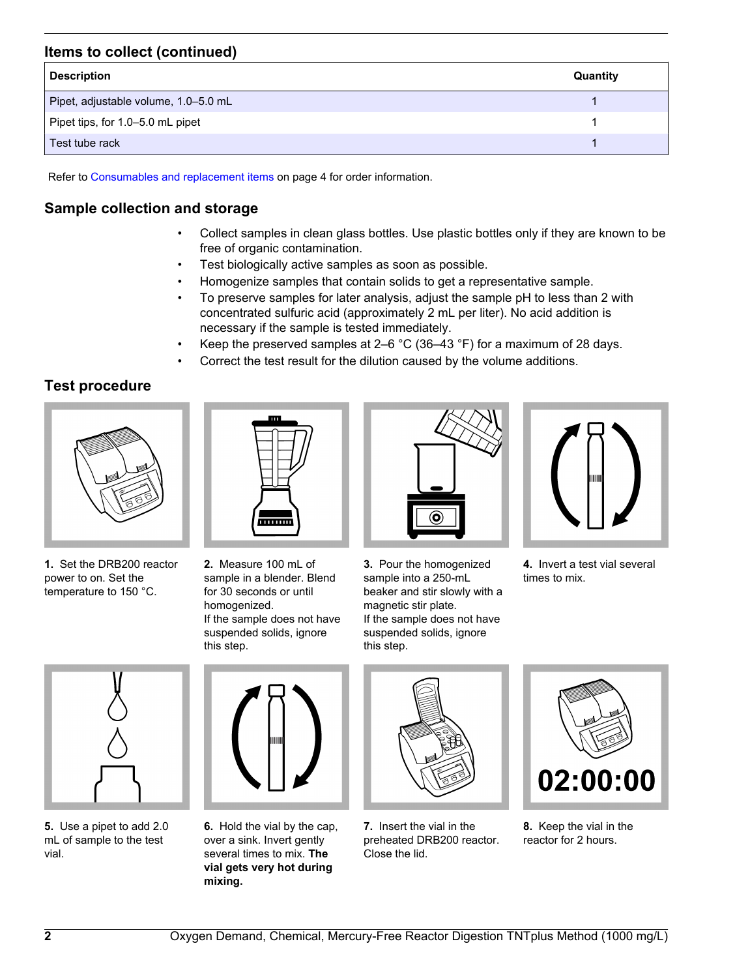# **Items to collect (continued)**

| <b>Description</b>                   | Quantity |
|--------------------------------------|----------|
| Pipet, adjustable volume, 1.0-5.0 mL |          |
| Pipet tips, for 1.0–5.0 mL pipet     |          |
| Test tube rack                       |          |

Refer to [Consumables and replacement items](#page-3-0) on page 4 for order information.

# **Sample collection and storage**

- Collect samples in clean glass bottles. Use plastic bottles only if they are known to be free of organic contamination.
- Test biologically active samples as soon as possible.
- Homogenize samples that contain solids to get a representative sample.
- To preserve samples for later analysis, adjust the sample pH to less than 2 with concentrated sulfuric acid (approximately 2 mL per liter). No acid addition is necessary if the sample is tested immediately.
- Keep the preserved samples at 2–6  $^{\circ}$ C (36–43  $^{\circ}$ F) for a maximum of 28 days.
- Correct the test result for the dilution caused by the volume additions.

# **Test procedure**



**1.** Set the DRB200 reactor power to on. Set the temperature to 150 °C.



**2.** Measure 100 mL of sample in a blender. Blend for 30 seconds or until homogenized. If the sample does not have suspended solids, ignore this step.



**3.** Pour the homogenized sample into a 250-mL beaker and stir slowly with a magnetic stir plate. If the sample does not have suspended solids, ignore this step.



**4.** Invert a test vial several times to mix.



**5.** Use a pipet to add 2.0 mL of sample to the test vial.



**6.** Hold the vial by the cap, over a sink. Invert gently several times to mix. **The vial gets very hot during mixing.**



**7.** Insert the vial in the preheated DRB200 reactor. Close the lid.



**8.** Keep the vial in the reactor for 2 hours.

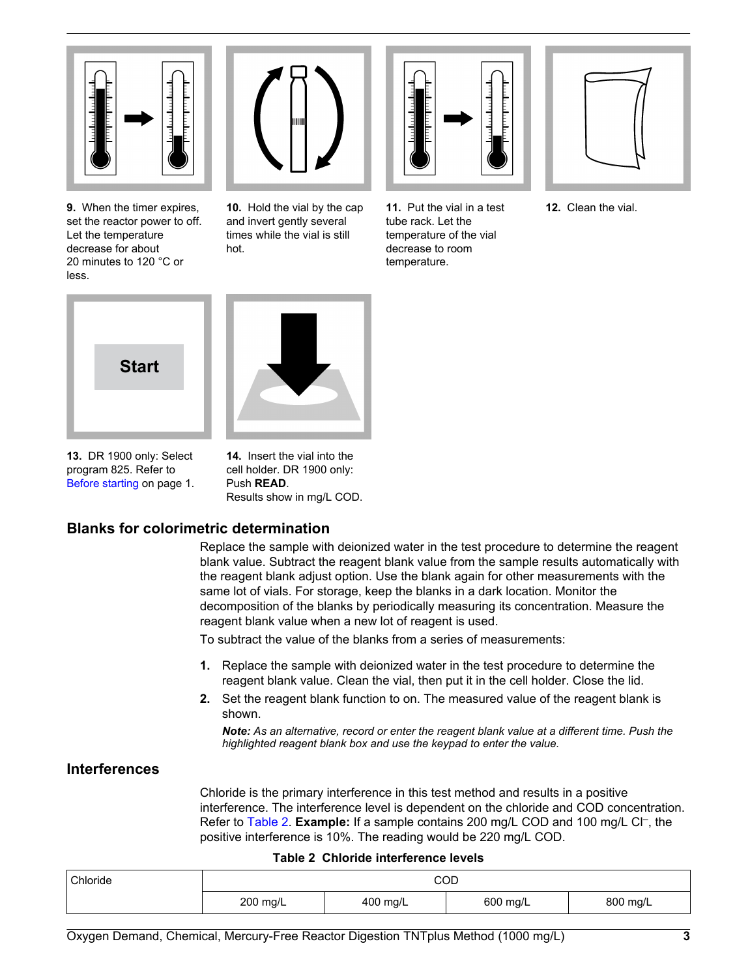

**9.** When the timer expires, set the reactor power to off. Let the temperature decrease for about 20 minutes to 120 °C or less.



**10.** Hold the vial by the cap and invert gently several times while the vial is still hot.



**11.** Put the vial in a test tube rack. Let the temperature of the vial decrease to room temperature.



**12.** Clean the vial.

<span id="page-2-0"></span>



**13.** DR 1900 only: Select program 825. Refer to [Before starting](#page-0-1) on page 1.

**14.** Insert the vial into the cell holder. DR 1900 only: Push **READ**. Results show in mg/L COD.

# **Blanks for colorimetric determination**

Replace the sample with deionized water in the test procedure to determine the reagent blank value. Subtract the reagent blank value from the sample results automatically with the reagent blank adjust option. Use the blank again for other measurements with the same lot of vials. For storage, keep the blanks in a dark location. Monitor the decomposition of the blanks by periodically measuring its concentration. Measure the reagent blank value when a new lot of reagent is used.

To subtract the value of the blanks from a series of measurements:

- **1.** Replace the sample with deionized water in the test procedure to determine the reagent blank value. Clean the vial, then put it in the cell holder. Close the lid.
- **2.** Set the reagent blank function to on. The measured value of the reagent blank is shown.

*Note: As an alternative, record or enter the reagent blank value at a different time. Push the highlighted reagent blank box and use the keypad to enter the value.*

# **Interferences**

Chloride is the primary interference in this test method and results in a positive interference. The interference level is dependent on the chloride and COD concentration. Refer to [Table 2.](#page-2-1) Example: If a sample contains 200 mg/L COD and 100 mg/L Cl<sup>-</sup>, the positive interference is 10%. The reading would be 220 mg/L COD.

#### **Table 2 Chloride interference levels**

<span id="page-2-1"></span>

| <sup>'</sup> Chloride | COD<br>800 mg/L<br>200 mg/L<br>400 mg/L<br>600 mg/L |  |  |  |
|-----------------------|-----------------------------------------------------|--|--|--|
|                       |                                                     |  |  |  |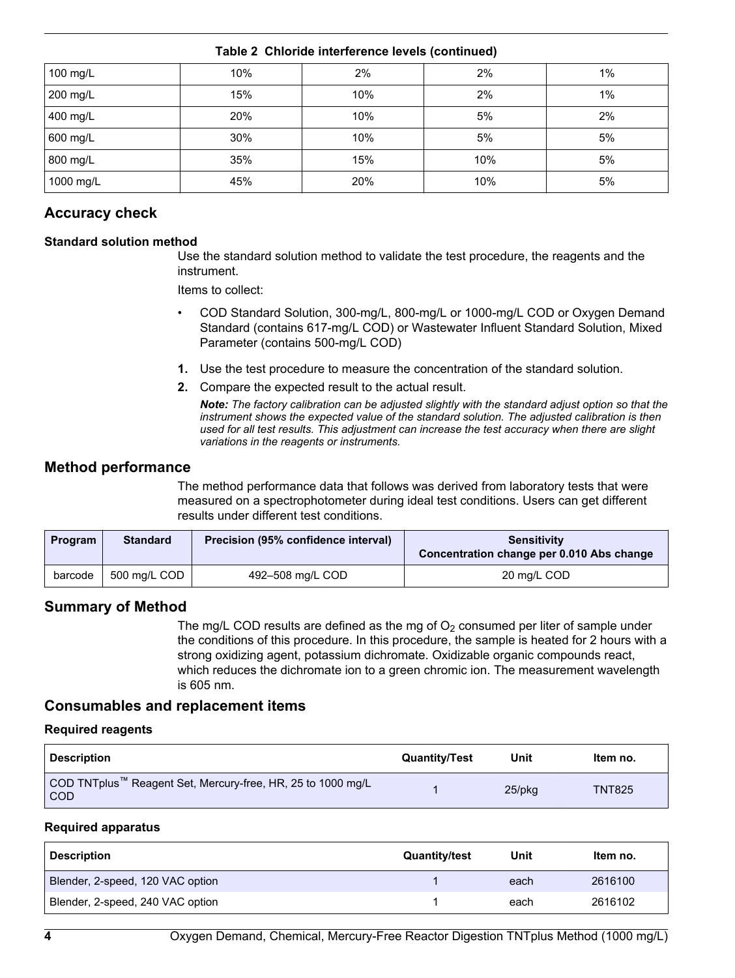| 100 mg/L  | 10% | 2%  | 2%  | $1\%$ |
|-----------|-----|-----|-----|-------|
| 200 mg/L  | 15% | 10% | 2%  | 1%    |
| 400 mg/L  | 20% | 10% | 5%  | 2%    |
| 600 mg/L  | 30% | 10% | 5%  | 5%    |
| 800 mg/L  | 35% | 15% | 10% | 5%    |
| 1000 mg/L | 45% | 20% | 10% | 5%    |

## **Table 2 Chloride interference levels (continued)**

# **Accuracy check**

## **Standard solution method**

Use the standard solution method to validate the test procedure, the reagents and the instrument.

Items to collect:

- COD Standard Solution, 300-mg/L, 800-mg/L or 1000-mg/L COD or Oxygen Demand Standard (contains 617-mg/L COD) or Wastewater Influent Standard Solution, Mixed Parameter (contains 500-mg/L COD)
- **1.** Use the test procedure to measure the concentration of the standard solution.
- **2.** Compare the expected result to the actual result.

*Note: The factory calibration can be adjusted slightly with the standard adjust option so that the instrument shows the expected value of the standard solution. The adjusted calibration is then used for all test results. This adjustment can increase the test accuracy when there are slight variations in the reagents or instruments.*

## **Method performance**

The method performance data that follows was derived from laboratory tests that were measured on a spectrophotometer during ideal test conditions. Users can get different results under different test conditions.

<span id="page-3-0"></span>

| Program | <b>Standard</b> | Precision (95% confidence interval) | <b>Sensitivity</b><br>Concentration change per 0.010 Abs change |
|---------|-----------------|-------------------------------------|-----------------------------------------------------------------|
| barcode | 500 mg/L COD    | 492-508 mg/L COD                    | 20 mg/L COD                                                     |

## **Summary of Method**

The mg/L COD results are defined as the mg of  $O<sub>2</sub>$  consumed per liter of sample under the conditions of this procedure. In this procedure, the sample is heated for 2 hours with a strong oxidizing agent, potassium dichromate. Oxidizable organic compounds react, which reduces the dichromate ion to a green chromic ion. The measurement wavelength is 605 nm.

## **Consumables and replacement items**

#### **Required reagents**

| <b>Description</b>                                                        | <b>Quantity/Test</b> | Unit      | Item no.      |
|---------------------------------------------------------------------------|----------------------|-----------|---------------|
| COD TNTplus™ Reagent Set, Mercury-free, HR, 25 to 1000 mg/L<br><b>COD</b> |                      | $25$ /pkq | <b>TNT825</b> |

#### **Required apparatus**

| <b>Description</b>               | <b>Quantity/test</b> | Unit | Item no. |
|----------------------------------|----------------------|------|----------|
| Blender, 2-speed, 120 VAC option |                      | each | 2616100  |
| Blender, 2-speed, 240 VAC option |                      | each | 2616102  |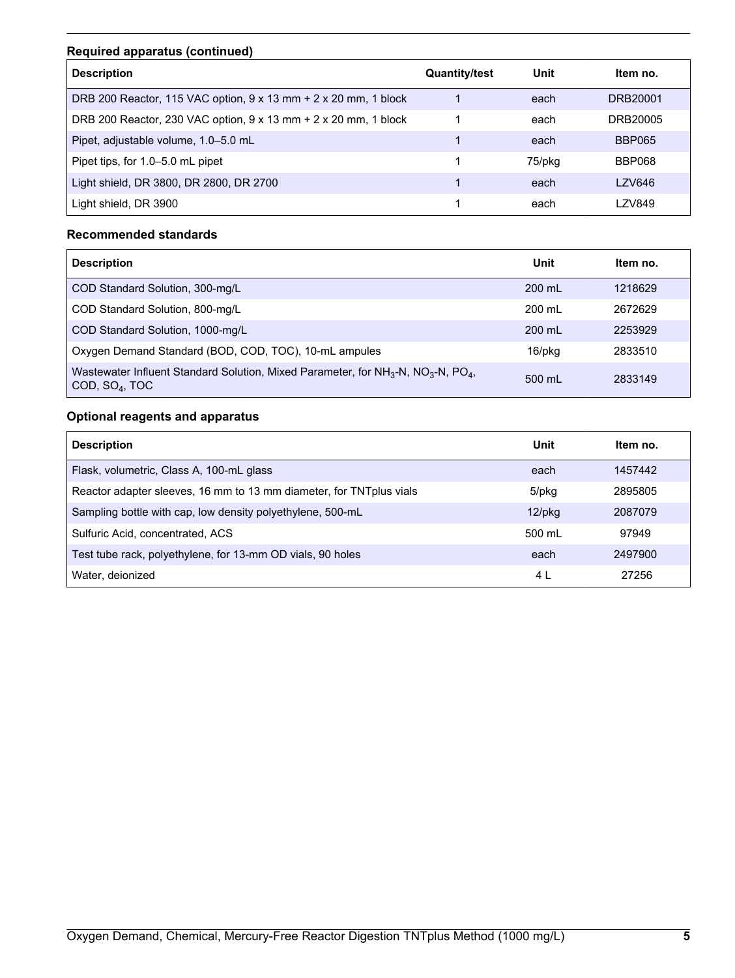# **Required apparatus (continued)**

| <b>Description</b>                                              | <b>Quantity/test</b> | Unit   | ltem no.      |
|-----------------------------------------------------------------|----------------------|--------|---------------|
| DRB 200 Reactor, 115 VAC option, 9 x 13 mm + 2 x 20 mm, 1 block |                      | each   | DRB20001      |
| DRB 200 Reactor, 230 VAC option, 9 x 13 mm + 2 x 20 mm, 1 block |                      | each   | DRB20005      |
| Pipet, adjustable volume, 1.0-5.0 mL                            |                      | each   | <b>BBP065</b> |
| Pipet tips, for 1.0-5.0 mL pipet                                |                      | 75/pkg | BBP068        |
| Light shield, DR 3800, DR 2800, DR 2700                         |                      | each   | <b>LZV646</b> |
| Light shield, DR 3900                                           |                      | each   | LZV849        |

## **Recommended standards**

| <b>Description</b>                                                                                                                        | Unit             | Item no. |
|-------------------------------------------------------------------------------------------------------------------------------------------|------------------|----------|
| COD Standard Solution, 300-mg/L                                                                                                           | $200 \text{ ml}$ | 1218629  |
| COD Standard Solution, 800-mg/L                                                                                                           | $200 \text{ ml}$ | 2672629  |
| COD Standard Solution, 1000-mg/L                                                                                                          | 200 mL           | 2253929  |
| Oxygen Demand Standard (BOD, COD, TOC), 10-mL ampules                                                                                     | 16/pkg           | 2833510  |
| Wastewater Influent Standard Solution, Mixed Parameter, for $NH3-N$ , NO <sub>3</sub> -N, PO <sub>4</sub> ,<br>COD, SO <sub>4</sub> , TOC | 500 mL           | 2833149  |

# **Optional reagents and apparatus**

| <b>Description</b>                                                  | Unit      | Item no. |
|---------------------------------------------------------------------|-----------|----------|
| Flask, volumetric, Class A, 100-mL glass                            | each      | 1457442  |
| Reactor adapter sleeves, 16 mm to 13 mm diameter, for TNTplus vials | 5/pkg     | 2895805  |
| Sampling bottle with cap, low density polyethylene, 500-mL          | $12$ /pkg | 2087079  |
| Sulfuric Acid, concentrated, ACS                                    | 500 mL    | 97949    |
| Test tube rack, polyethylene, for 13-mm OD vials, 90 holes          | each      | 2497900  |
| Water, deionized                                                    | 4 L       | 27256    |